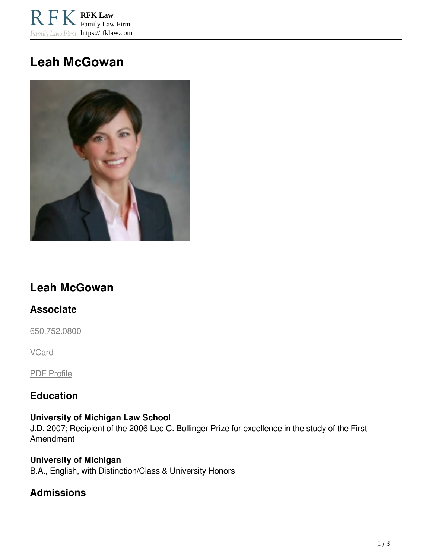**RFK Law** Family Law Firm Family Law Firm https://rfklaw.com

# **Leah McGowan**



## **Leah McGowan**

## **Associate**

[650.752.0800](tel:6507520800)

**VCard** 

PDF Profile

## **Education**

#### **University of Michigan Law School**

J.D. 2007; Recipient of the 2006 Lee C. Bollinger Prize for excellence in the study of the First Amendment

**University of Michigan** B.A., English, with Distinction/Class & University Honors

## **Admissions**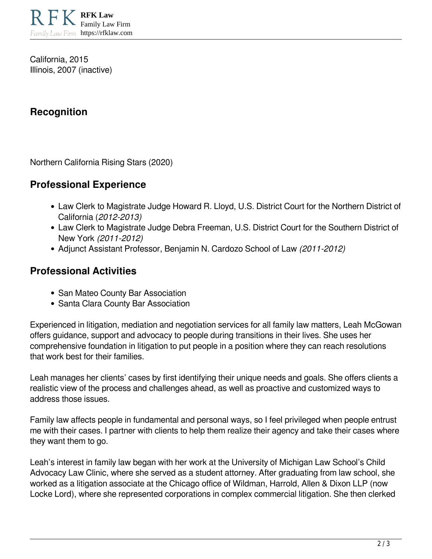California, 2015 Illinois, 2007 (inactive)

## **Recognition**

Northern California Rising Stars (2020)

## **Professional Experience**

- Law Clerk to Magistrate Judge Howard R. Lloyd, U.S. District Court for the Northern District of California (*2012-2013)*
- Law Clerk to Magistrate Judge Debra Freeman, U.S. District Court for the Southern District of New York *(2011-2012)*
- Adjunct Assistant Professor, Benjamin N. Cardozo School of Law *(2011-2012)*

## **Professional Activities**

- San Mateo County Bar Association
- Santa Clara County Bar Association

Experienced in litigation, mediation and negotiation services for all family law matters, Leah McGowan offers guidance, support and advocacy to people during transitions in their lives. She uses her comprehensive foundation in litigation to put people in a position where they can reach resolutions that work best for their families.

Leah manages her clients' cases by first identifying their unique needs and goals. She offers clients a realistic view of the process and challenges ahead, as well as proactive and customized ways to address those issues.

Family law affects people in fundamental and personal ways, so I feel privileged when people entrust me with their cases. I partner with clients to help them realize their agency and take their cases where they want them to go.

Leah's interest in family law began with her work at the University of Michigan Law School's Child Advocacy Law Clinic, where she served as a student attorney. After graduating from law school, she worked as a litigation associate at the Chicago office of Wildman, Harrold, Allen & Dixon LLP (now Locke Lord), where she represented corporations in complex commercial litigation. She then clerked